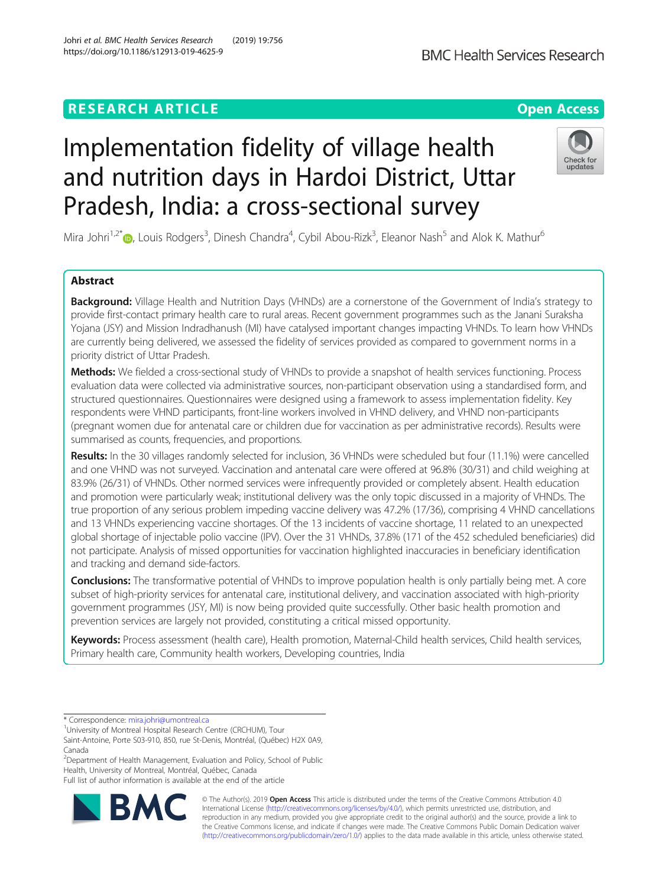# **RESEARCH ARTICLE Example 2014 12:30 The Contract of Contract ACCESS**

# Implementation fidelity of village health and nutrition days in Hardoi District, Uttar Pradesh, India: a cross-sectional survey

Mira Johri<sup>1,2\*</sup>®, Louis Rodgers<sup>3</sup>, Dinesh Chandra<sup>4</sup>, Cybil Abou-Rizk<sup>3</sup>, Eleanor Nash<sup>5</sup> and Alok K. Mathur<sup>6</sup>

# Abstract

Background: Village Health and Nutrition Days (VHNDs) are a cornerstone of the Government of India's strategy to provide first-contact primary health care to rural areas. Recent government programmes such as the Janani Suraksha Yojana (JSY) and Mission Indradhanush (MI) have catalysed important changes impacting VHNDs. To learn how VHNDs are currently being delivered, we assessed the fidelity of services provided as compared to government norms in a priority district of Uttar Pradesh.

Methods: We fielded a cross-sectional study of VHNDs to provide a snapshot of health services functioning. Process evaluation data were collected via administrative sources, non-participant observation using a standardised form, and structured questionnaires. Questionnaires were designed using a framework to assess implementation fidelity. Key respondents were VHND participants, front-line workers involved in VHND delivery, and VHND non-participants (pregnant women due for antenatal care or children due for vaccination as per administrative records). Results were summarised as counts, frequencies, and proportions.

Results: In the 30 villages randomly selected for inclusion, 36 VHNDs were scheduled but four (11.1%) were cancelled and one VHND was not surveyed. Vaccination and antenatal care were offered at 96.8% (30/31) and child weighing at 83.9% (26/31) of VHNDs. Other normed services were infrequently provided or completely absent. Health education and promotion were particularly weak; institutional delivery was the only topic discussed in a majority of VHNDs. The true proportion of any serious problem impeding vaccine delivery was 47.2% (17/36), comprising 4 VHND cancellations and 13 VHNDs experiencing vaccine shortages. Of the 13 incidents of vaccine shortage, 11 related to an unexpected global shortage of injectable polio vaccine (IPV). Over the 31 VHNDs, 37.8% (171 of the 452 scheduled beneficiaries) did not participate. Analysis of missed opportunities for vaccination highlighted inaccuracies in beneficiary identification and tracking and demand side-factors.

Conclusions: The transformative potential of VHNDs to improve population health is only partially being met. A core subset of high-priority services for antenatal care, institutional delivery, and vaccination associated with high-priority government programmes (JSY, MI) is now being provided quite successfully. Other basic health promotion and prevention services are largely not provided, constituting a critical missed opportunity.

Keywords: Process assessment (health care), Health promotion, Maternal-Child health services, Child health services, Primary health care, Community health workers, Developing countries, India

<sup>2</sup>Department of Health Management, Evaluation and Policy, School of Public Health, University of Montreal, Montréal, Québec, Canada

Full list of author information is available at the end of the article









<sup>\*</sup> Correspondence: [mira.johri@umontreal.ca](mailto:mira.johri@umontreal.ca) <sup>1</sup>

<sup>&</sup>lt;sup>1</sup> University of Montreal Hospital Research Centre (CRCHUM), Tour

Saint-Antoine, Porte S03-910, 850, rue St-Denis, Montréal, (Québec) H2X 0A9, Canada

Johri et al. BMC Health Services Research (2019) 19:756 https://doi.org/10.1186/s12913-019-4625-9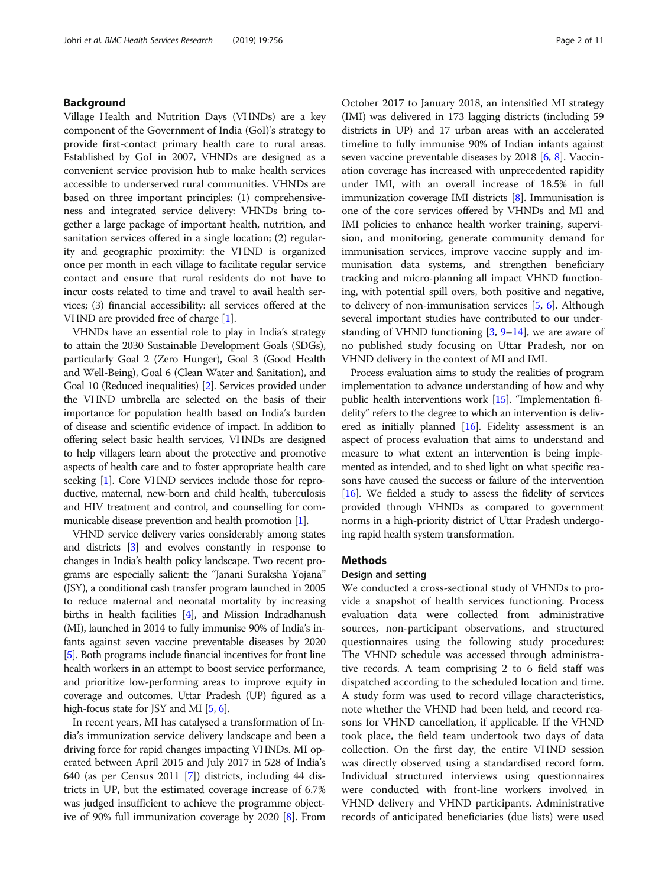# Background

Village Health and Nutrition Days (VHNDs) are a key component of the Government of India (GoI)'s strategy to provide first-contact primary health care to rural areas. Established by GoI in 2007, VHNDs are designed as a convenient service provision hub to make health services accessible to underserved rural communities. VHNDs are based on three important principles: (1) comprehensiveness and integrated service delivery: VHNDs bring together a large package of important health, nutrition, and sanitation services offered in a single location; (2) regularity and geographic proximity: the VHND is organized once per month in each village to facilitate regular service contact and ensure that rural residents do not have to incur costs related to time and travel to avail health services; (3) financial accessibility: all services offered at the VHND are provided free of charge [[1\]](#page-9-0).

VHNDs have an essential role to play in India's strategy to attain the 2030 Sustainable Development Goals (SDGs), particularly Goal 2 (Zero Hunger), Goal 3 (Good Health and Well-Being), Goal 6 (Clean Water and Sanitation), and Goal 10 (Reduced inequalities) [\[2\]](#page-9-0). Services provided under the VHND umbrella are selected on the basis of their importance for population health based on India's burden of disease and scientific evidence of impact. In addition to offering select basic health services, VHNDs are designed to help villagers learn about the protective and promotive aspects of health care and to foster appropriate health care seeking [\[1\]](#page-9-0). Core VHND services include those for reproductive, maternal, new-born and child health, tuberculosis and HIV treatment and control, and counselling for communicable disease prevention and health promotion [[1](#page-9-0)].

VHND service delivery varies considerably among states and districts [\[3\]](#page-9-0) and evolves constantly in response to changes in India's health policy landscape. Two recent programs are especially salient: the "Janani Suraksha Yojana" (JSY), a conditional cash transfer program launched in 2005 to reduce maternal and neonatal mortality by increasing births in health facilities [\[4](#page-9-0)], and Mission Indradhanush (MI), launched in 2014 to fully immunise 90% of India's infants against seven vaccine preventable diseases by 2020 [[5](#page-9-0)]. Both programs include financial incentives for front line health workers in an attempt to boost service performance, and prioritize low-performing areas to improve equity in coverage and outcomes. Uttar Pradesh (UP) figured as a high-focus state for JSY and MI [[5](#page-9-0), [6\]](#page-9-0).

In recent years, MI has catalysed a transformation of India's immunization service delivery landscape and been a driving force for rapid changes impacting VHNDs. MI operated between April 2015 and July 2017 in 528 of India's 640 (as per Census 2011 [\[7](#page-9-0)]) districts, including 44 districts in UP, but the estimated coverage increase of 6.7% was judged insufficient to achieve the programme objective of 90% full immunization coverage by 2020 [\[8](#page-9-0)]. From

October 2017 to January 2018, an intensified MI strategy (IMI) was delivered in 173 lagging districts (including 59 districts in UP) and 17 urban areas with an accelerated timeline to fully immunise 90% of Indian infants against seven vaccine preventable diseases by 2018 [[6](#page-9-0), [8](#page-9-0)]. Vaccination coverage has increased with unprecedented rapidity under IMI, with an overall increase of 18.5% in full immunization coverage IMI districts [\[8](#page-9-0)]. Immunisation is one of the core services offered by VHNDs and MI and IMI policies to enhance health worker training, supervision, and monitoring, generate community demand for immunisation services, improve vaccine supply and immunisation data systems, and strengthen beneficiary tracking and micro-planning all impact VHND functioning, with potential spill overs, both positive and negative, to delivery of non-immunisation services [\[5,](#page-9-0) [6](#page-9-0)]. Although several important studies have contributed to our understanding of VHND functioning  $[3, 9-14]$  $[3, 9-14]$  $[3, 9-14]$  $[3, 9-14]$  $[3, 9-14]$ , we are aware of no published study focusing on Uttar Pradesh, nor on VHND delivery in the context of MI and IMI.

Process evaluation aims to study the realities of program implementation to advance understanding of how and why public health interventions work [\[15](#page-9-0)]. "Implementation fidelity" refers to the degree to which an intervention is delivered as initially planned [[16](#page-9-0)]. Fidelity assessment is an aspect of process evaluation that aims to understand and measure to what extent an intervention is being implemented as intended, and to shed light on what specific reasons have caused the success or failure of the intervention [[16](#page-9-0)]. We fielded a study to assess the fidelity of services provided through VHNDs as compared to government norms in a high-priority district of Uttar Pradesh undergoing rapid health system transformation.

#### Methods

## Design and setting

We conducted a cross-sectional study of VHNDs to provide a snapshot of health services functioning. Process evaluation data were collected from administrative sources, non-participant observations, and structured questionnaires using the following study procedures: The VHND schedule was accessed through administrative records. A team comprising 2 to 6 field staff was dispatched according to the scheduled location and time. A study form was used to record village characteristics, note whether the VHND had been held, and record reasons for VHND cancellation, if applicable. If the VHND took place, the field team undertook two days of data collection. On the first day, the entire VHND session was directly observed using a standardised record form. Individual structured interviews using questionnaires were conducted with front-line workers involved in VHND delivery and VHND participants. Administrative records of anticipated beneficiaries (due lists) were used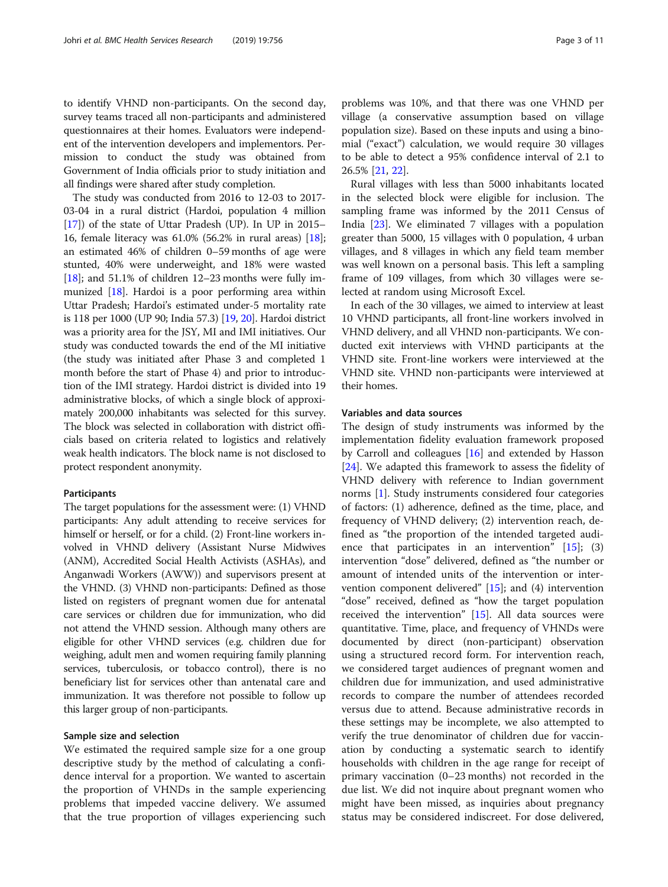to identify VHND non-participants. On the second day, survey teams traced all non-participants and administered questionnaires at their homes. Evaluators were independent of the intervention developers and implementors. Permission to conduct the study was obtained from Government of India officials prior to study initiation and all findings were shared after study completion.

The study was conducted from 2016 to 12-03 to 2017- 03-04 in a rural district (Hardoi, population 4 million [[17](#page-9-0)]) of the state of Uttar Pradesh (UP). In UP in 2015– 16, female literacy was 61.0% (56.2% in rural areas) [[18](#page-9-0)]; an estimated 46% of children 0–59 months of age were stunted, 40% were underweight, and 18% were wasted [ $18$ ]; and 51.1% of children 12–23 months were fully immunized [\[18\]](#page-9-0). Hardoi is a poor performing area within Uttar Pradesh; Hardoi's estimated under-5 mortality rate is 118 per 1000 (UP 90; India 57.3) [[19](#page-9-0), [20](#page-9-0)]. Hardoi district was a priority area for the JSY, MI and IMI initiatives. Our study was conducted towards the end of the MI initiative (the study was initiated after Phase 3 and completed 1 month before the start of Phase 4) and prior to introduction of the IMI strategy. Hardoi district is divided into 19 administrative blocks, of which a single block of approximately 200,000 inhabitants was selected for this survey. The block was selected in collaboration with district officials based on criteria related to logistics and relatively weak health indicators. The block name is not disclosed to protect respondent anonymity.

# Participants

The target populations for the assessment were: (1) VHND participants: Any adult attending to receive services for himself or herself, or for a child. (2) Front-line workers involved in VHND delivery (Assistant Nurse Midwives (ANM), Accredited Social Health Activists (ASHAs), and Anganwadi Workers (AWW)) and supervisors present at the VHND. (3) VHND non-participants: Defined as those listed on registers of pregnant women due for antenatal care services or children due for immunization, who did not attend the VHND session. Although many others are eligible for other VHND services (e.g. children due for weighing, adult men and women requiring family planning services, tuberculosis, or tobacco control), there is no beneficiary list for services other than antenatal care and immunization. It was therefore not possible to follow up this larger group of non-participants.

#### Sample size and selection

We estimated the required sample size for a one group descriptive study by the method of calculating a confidence interval for a proportion. We wanted to ascertain the proportion of VHNDs in the sample experiencing problems that impeded vaccine delivery. We assumed that the true proportion of villages experiencing such problems was 10%, and that there was one VHND per village (a conservative assumption based on village population size). Based on these inputs and using a binomial ("exact") calculation, we would require 30 villages to be able to detect a 95% confidence interval of 2.1 to 26.5% [[21](#page-9-0), [22](#page-9-0)].

Rural villages with less than 5000 inhabitants located in the selected block were eligible for inclusion. The sampling frame was informed by the 2011 Census of India [\[23](#page-9-0)]. We eliminated 7 villages with a population greater than 5000, 15 villages with 0 population, 4 urban villages, and 8 villages in which any field team member was well known on a personal basis. This left a sampling frame of 109 villages, from which 30 villages were selected at random using Microsoft Excel.

In each of the 30 villages, we aimed to interview at least 10 VHND participants, all front-line workers involved in VHND delivery, and all VHND non-participants. We conducted exit interviews with VHND participants at the VHND site. Front-line workers were interviewed at the VHND site. VHND non-participants were interviewed at their homes.

## Variables and data sources

The design of study instruments was informed by the implementation fidelity evaluation framework proposed by Carroll and colleagues [\[16](#page-9-0)] and extended by Hasson [[24\]](#page-9-0). We adapted this framework to assess the fidelity of VHND delivery with reference to Indian government norms [\[1](#page-9-0)]. Study instruments considered four categories of factors: (1) adherence, defined as the time, place, and frequency of VHND delivery; (2) intervention reach, defined as "the proportion of the intended targeted audience that participates in an intervention"  $[15]$  $[15]$ ; (3) intervention "dose" delivered, defined as "the number or amount of intended units of the intervention or intervention component delivered" [\[15](#page-9-0)]; and (4) intervention "dose" received, defined as "how the target population received the intervention" [\[15](#page-9-0)]. All data sources were quantitative. Time, place, and frequency of VHNDs were documented by direct (non-participant) observation using a structured record form. For intervention reach, we considered target audiences of pregnant women and children due for immunization, and used administrative records to compare the number of attendees recorded versus due to attend. Because administrative records in these settings may be incomplete, we also attempted to verify the true denominator of children due for vaccination by conducting a systematic search to identify households with children in the age range for receipt of primary vaccination (0–23 months) not recorded in the due list. We did not inquire about pregnant women who might have been missed, as inquiries about pregnancy status may be considered indiscreet. For dose delivered,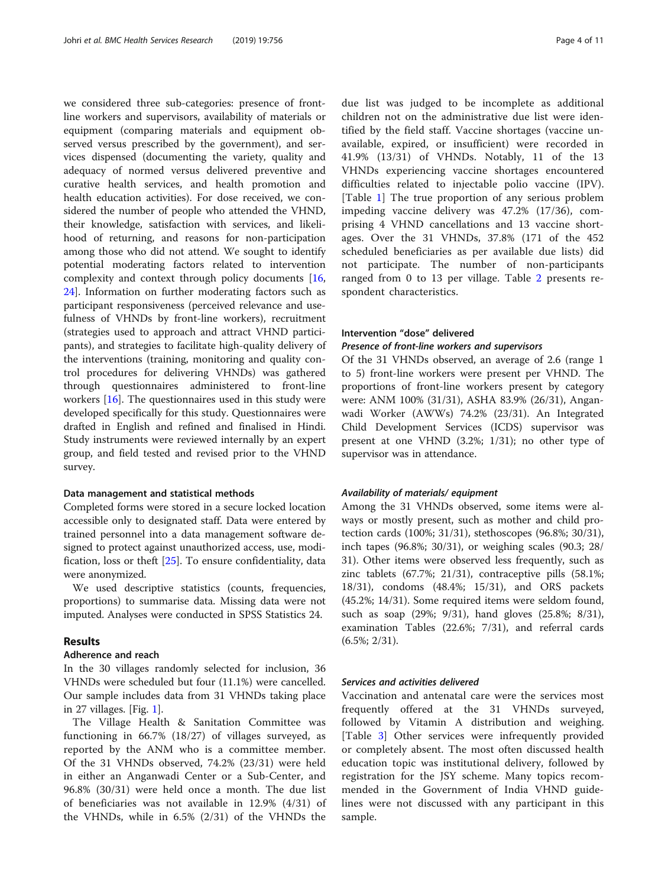we considered three sub-categories: presence of frontline workers and supervisors, availability of materials or equipment (comparing materials and equipment observed versus prescribed by the government), and services dispensed (documenting the variety, quality and adequacy of normed versus delivered preventive and curative health services, and health promotion and health education activities). For dose received, we considered the number of people who attended the VHND, their knowledge, satisfaction with services, and likelihood of returning, and reasons for non-participation among those who did not attend. We sought to identify potential moderating factors related to intervention complexity and context through policy documents [[16](#page-9-0), [24\]](#page-9-0). Information on further moderating factors such as participant responsiveness (perceived relevance and usefulness of VHNDs by front-line workers), recruitment (strategies used to approach and attract VHND participants), and strategies to facilitate high-quality delivery of the interventions (training, monitoring and quality control procedures for delivering VHNDs) was gathered through questionnaires administered to front-line workers [\[16](#page-9-0)]. The questionnaires used in this study were developed specifically for this study. Questionnaires were drafted in English and refined and finalised in Hindi. Study instruments were reviewed internally by an expert group, and field tested and revised prior to the VHND survey.

#### Data management and statistical methods

Completed forms were stored in a secure locked location accessible only to designated staff. Data were entered by trained personnel into a data management software designed to protect against unauthorized access, use, modification, loss or theft [\[25](#page-9-0)]. To ensure confidentiality, data were anonymized.

We used descriptive statistics (counts, frequencies, proportions) to summarise data. Missing data were not imputed. Analyses were conducted in SPSS Statistics 24.

# **Results**

#### Adherence and reach

In the 30 villages randomly selected for inclusion, 36 VHNDs were scheduled but four (11.1%) were cancelled. Our sample includes data from 31 VHNDs taking place in 27 villages. [Fig. [1](#page-4-0)].

The Village Health & Sanitation Committee was functioning in 66.7% (18/27) of villages surveyed, as reported by the ANM who is a committee member. Of the 31 VHNDs observed, 74.2% (23/31) were held in either an Anganwadi Center or a Sub-Center, and 96.8% (30/31) were held once a month. The due list of beneficiaries was not available in 12.9% (4/31) of the VHNDs, while in 6.5% (2/31) of the VHNDs the due list was judged to be incomplete as additional children not on the administrative due list were identified by the field staff. Vaccine shortages (vaccine unavailable, expired, or insufficient) were recorded in 41.9% (13/31) of VHNDs. Notably, 11 of the 13 VHNDs experiencing vaccine shortages encountered difficulties related to injectable polio vaccine (IPV). [Table [1\]](#page-5-0) The true proportion of any serious problem impeding vaccine delivery was 47.2% (17/36), comprising 4 VHND cancellations and 13 vaccine shortages. Over the 31 VHNDs, 37.8% (171 of the 452 scheduled beneficiaries as per available due lists) did not participate. The number of non-participants ranged from 0 to 13 per village. Table [2](#page-5-0) presents respondent characteristics.

# Intervention "dose" delivered

# Presence of front-line workers and supervisors

Of the 31 VHNDs observed, an average of 2.6 (range 1 to 5) front-line workers were present per VHND. The proportions of front-line workers present by category were: ANM 100% (31/31), ASHA 83.9% (26/31), Anganwadi Worker (AWWs) 74.2% (23/31). An Integrated Child Development Services (ICDS) supervisor was present at one VHND (3.2%; 1/31); no other type of supervisor was in attendance.

#### Availability of materials/ equipment

Among the 31 VHNDs observed, some items were always or mostly present, such as mother and child protection cards (100%; 31/31), stethoscopes (96.8%; 30/31), inch tapes (96.8%; 30/31), or weighing scales (90.3; 28/ 31). Other items were observed less frequently, such as zinc tablets (67.7%; 21/31), contraceptive pills (58.1%; 18/31), condoms (48.4%; 15/31), and ORS packets (45.2%; 14/31). Some required items were seldom found, such as soap (29%; 9/31), hand gloves (25.8%; 8/31), examination Tables (22.6%; 7/31), and referral cards (6.5%; 2/31).

#### Services and activities delivered

Vaccination and antenatal care were the services most frequently offered at the 31 VHNDs surveyed, followed by Vitamin A distribution and weighing. [Table [3](#page-5-0)] Other services were infrequently provided or completely absent. The most often discussed health education topic was institutional delivery, followed by registration for the JSY scheme. Many topics recommended in the Government of India VHND guidelines were not discussed with any participant in this sample.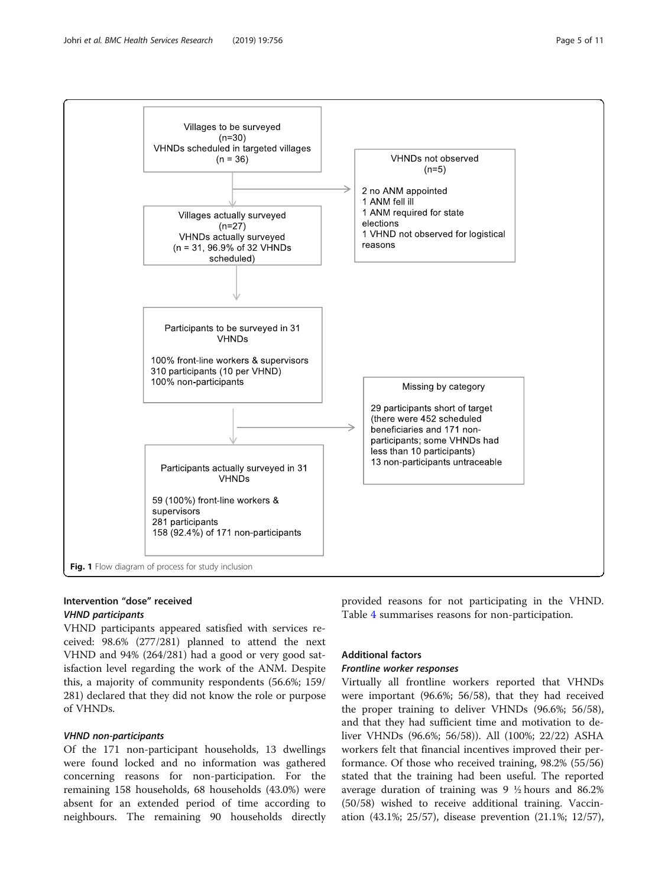<span id="page-4-0"></span>

# Intervention "dose" received VHND participants

VHND participants appeared satisfied with services received: 98.6% (277/281) planned to attend the next VHND and 94% (264/281) had a good or very good satisfaction level regarding the work of the ANM. Despite this, a majority of community respondents (56.6%; 159/ 281) declared that they did not know the role or purpose of VHNDs.

#### VHND non-participants

Of the 171 non-participant households, 13 dwellings were found locked and no information was gathered concerning reasons for non-participation. For the remaining 158 households, 68 households (43.0%) were absent for an extended period of time according to neighbours. The remaining 90 households directly provided reasons for not participating in the VHND. Table [4](#page-6-0) summarises reasons for non-participation.

# Additional factors

# Frontline worker responses

Virtually all frontline workers reported that VHNDs were important (96.6%; 56/58), that they had received the proper training to deliver VHNDs (96.6%; 56/58), and that they had sufficient time and motivation to deliver VHNDs (96.6%; 56/58)). All (100%; 22/22) ASHA workers felt that financial incentives improved their performance. Of those who received training, 98.2% (55/56) stated that the training had been useful. The reported average duration of training was 9 ½ hours and 86.2% (50/58) wished to receive additional training. Vaccination (43.1%; 25/57), disease prevention (21.1%; 12/57),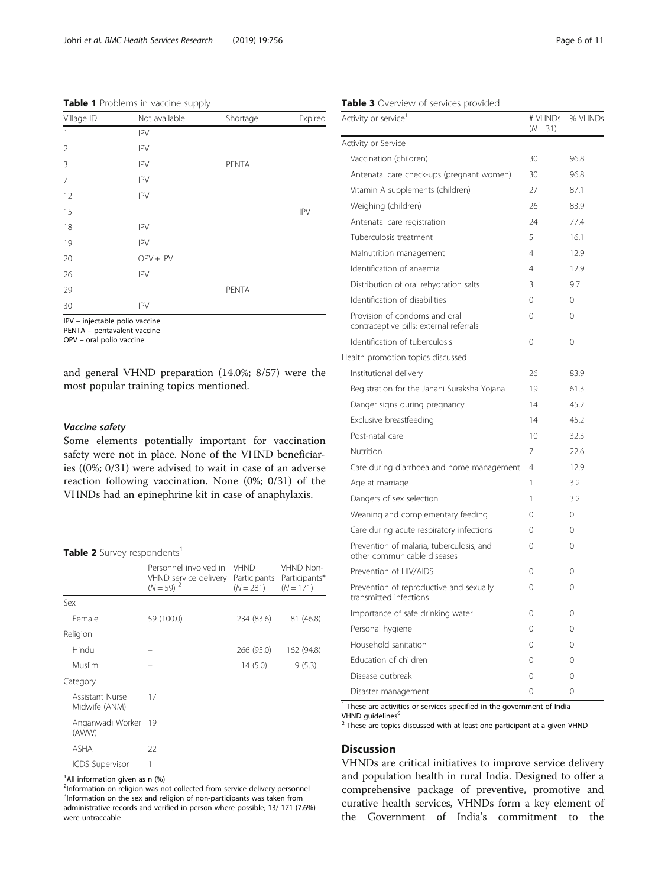#### <span id="page-5-0"></span>Table 1 Problems in vaccine supply

|                | . .           |          |            |
|----------------|---------------|----------|------------|
| Village ID     | Not available | Shortage | Expired    |
| 1              | <b>IPV</b>    |          |            |
| 2              | <b>IPV</b>    |          |            |
| 3              | <b>IPV</b>    | PENTA    |            |
| $\overline{7}$ | <b>IPV</b>    |          |            |
| 12             | <b>IPV</b>    |          |            |
| 15             |               |          | <b>IPV</b> |
| 18             | <b>IPV</b>    |          |            |
| 19             | <b>IPV</b>    |          |            |
| 20             | $OPV + IPV$   |          |            |
| 26             | <b>IPV</b>    |          |            |
| 29             |               | PENTA    |            |
| 30             | <b>IPV</b>    |          |            |
|                |               |          |            |

IPV – injectable polio vaccine

PENTA – pentavalent vaccine

OPV – oral polio vaccine

and general VHND preparation (14.0%; 8/57) were the most popular training topics mentioned.

# Vaccine safety

Some elements potentially important for vaccination safety were not in place. None of the VHND beneficiaries ((0%; 0/31) were advised to wait in case of an adverse reaction following vaccination. None (0%; 0/31) of the VHNDs had an epinephrine kit in case of anaphylaxis.

#### Table 2 Survey respondents<sup>1</sup>

|                                  | Personnel involved in<br>VHND service delivery<br>$(N = 59)^2$ | <b>VHND</b><br>Participants<br>$(N = 281)$ | VHND Non-<br>Participants*<br>$(N = 171)$ |
|----------------------------------|----------------------------------------------------------------|--------------------------------------------|-------------------------------------------|
| Sex                              |                                                                |                                            |                                           |
| Female                           | 59 (100.0)                                                     | 234 (83.6)                                 | 81 (46.8)                                 |
| Religion                         |                                                                |                                            |                                           |
| Hindu                            |                                                                | 266 (95.0)                                 | 162 (94.8)                                |
| Muslim                           |                                                                | 14(5.0)                                    | 9(5.3)                                    |
| Category                         |                                                                |                                            |                                           |
| Assistant Nurse<br>Midwife (ANM) | 17                                                             |                                            |                                           |
| Anganwadi Worker<br>(AWW)        | 19                                                             |                                            |                                           |
| <b>ASHA</b>                      | 22                                                             |                                            |                                           |
| <b>ICDS Supervisor</b>           | 1                                                              |                                            |                                           |

<sup>1</sup> All information given as n (%)

<sup>2</sup>Information on religion was not collected from service delivery personnel <sup>3</sup>Information on the sex and religion of non-participants was taken from administrative records and verified in person where possible; 13/ 171 (7.6%) were untraceable

|                                                                          | $(N = 31)$     |          |
|--------------------------------------------------------------------------|----------------|----------|
| Activity or Service                                                      |                |          |
| Vaccination (children)                                                   | 30             | 96.8     |
| Antenatal care check-ups (pregnant women)                                | 30             | 96.8     |
| Vitamin A supplements (children)                                         | 27             | 87.1     |
| Weighing (children)                                                      | 26             | 83.9     |
| Antenatal care registration                                              | 24             | 77.4     |
| Tuberculosis treatment                                                   | 5              | 16.1     |
| Malnutrition management                                                  | $\overline{4}$ | 12.9     |
| Identification of anaemia                                                | 4              | 12.9     |
| Distribution of oral rehydration salts                                   | 3              | 9.7      |
| Identification of disabilities                                           | $\Omega$       | $\Omega$ |
| Provision of condoms and oral<br>contraceptive pills; external referrals | $\Omega$       | 0        |
| Identification of tuberculosis                                           | 0              | $\Omega$ |
| Health promotion topics discussed                                        |                |          |
| Institutional delivery                                                   | 26             | 83.9     |
| Registration for the Janani Suraksha Yojana                              | 19             | 61.3     |
| Danger signs during pregnancy                                            | 14             | 45.2     |
| Exclusive breastfeeding                                                  | 14             | 45.2     |
| Post-natal care                                                          | 10             | 32.3     |
| Nutrition                                                                | 7              | 22.6     |
| Care during diarrhoea and home management                                | $\overline{4}$ | 12.9     |
| Age at marriage                                                          | 1              | 3.2      |
| Dangers of sex selection                                                 | 1              | 3.2      |
| Weaning and complementary feeding                                        | $\Omega$       | $\Omega$ |
| Care during acute respiratory infections                                 | $\Omega$       | $\Omega$ |
| Prevention of malaria, tuberculosis, and<br>other communicable diseases  | $\Omega$       | 0        |
| Prevention of HIV/AIDS                                                   | $\Omega$       | $\Omega$ |
| Prevention of reproductive and sexually<br>transmitted infections        | 0              | 0        |
| Importance of safe drinking water                                        | $\Omega$       | $\Omega$ |
| Personal hygiene                                                         | 0              | 0        |
| Household sanitation                                                     | $\Omega$       | $\Omega$ |
| Education of children                                                    | 0              | 0        |
| Disease outbreak                                                         | 0              | $\Omega$ |
| Disaster management                                                      | $\Omega$       | 0        |

 $1$  These are activities or services specified in the government of India

VHND guidelines<sup>6</sup>

<sup>2</sup> These are topics discussed with at least one participant at a given VHND

#### **Discussion**

VHNDs are critical initiatives to improve service delivery and population health in rural India. Designed to offer a comprehensive package of preventive, promotive and curative health services, VHNDs form a key element of the Government of India's commitment to the

# VHNDs % VHNDs

# Table 3 Overview of services provided

Activity or service<sup>1</sup>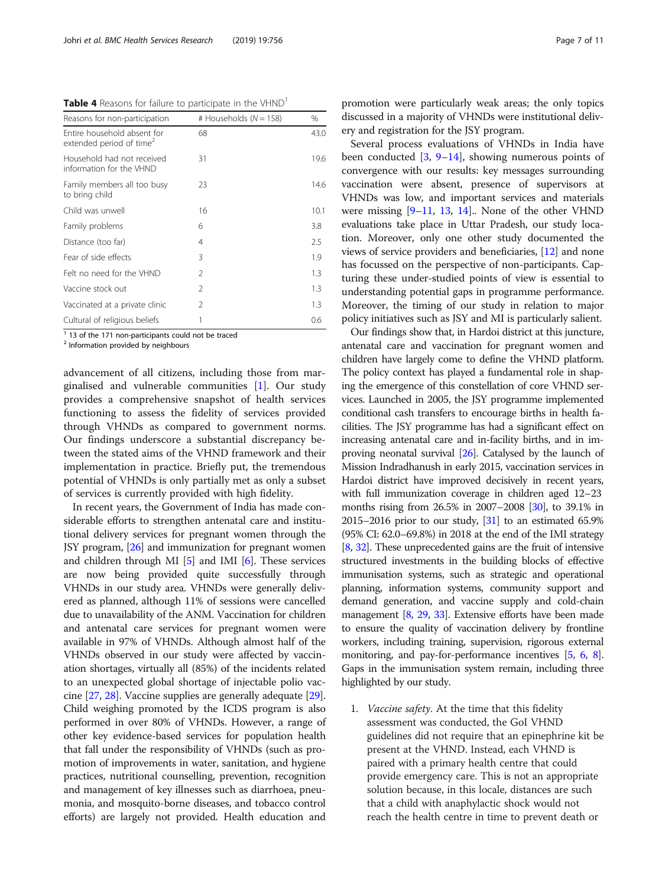<span id="page-6-0"></span>Table 4 Reasons for failure to participate in the VHND<sup>1</sup>

| # Households $(N = 158)$ | $\frac{0}{0}$ |
|--------------------------|---------------|
| 68                       | 43.0          |
| 31                       | 19.6          |
| 23                       | 14.6          |
| 16                       | 10.1          |
| 6                        | 3.8           |
| 4                        | 2.5           |
| 3                        | 1.9           |
| $\mathcal{P}$            | 1.3           |
| $\mathcal{P}$            | 1.3           |
| $\mathcal{P}$            | 1.3           |
|                          | 0.6           |
|                          |               |

<sup>1</sup> 13 of the 171 non-participants could not be traced

<sup>2</sup> Information provided by neighbours

advancement of all citizens, including those from marginalised and vulnerable communities [[1\]](#page-9-0). Our study provides a comprehensive snapshot of health services functioning to assess the fidelity of services provided through VHNDs as compared to government norms. Our findings underscore a substantial discrepancy between the stated aims of the VHND framework and their implementation in practice. Briefly put, the tremendous potential of VHNDs is only partially met as only a subset of services is currently provided with high fidelity.

In recent years, the Government of India has made considerable efforts to strengthen antenatal care and institutional delivery services for pregnant women through the JSY program, [[26\]](#page-9-0) and immunization for pregnant women and children through MI  $[5]$  $[5]$  and IMI  $[6]$  $[6]$ . These services are now being provided quite successfully through VHNDs in our study area. VHNDs were generally delivered as planned, although 11% of sessions were cancelled due to unavailability of the ANM. Vaccination for children and antenatal care services for pregnant women were available in 97% of VHNDs. Although almost half of the VHNDs observed in our study were affected by vaccination shortages, virtually all (85%) of the incidents related to an unexpected global shortage of injectable polio vaccine [\[27,](#page-9-0) [28](#page-9-0)]. Vaccine supplies are generally adequate [[29](#page-9-0)]. Child weighing promoted by the ICDS program is also performed in over 80% of VHNDs. However, a range of other key evidence-based services for population health that fall under the responsibility of VHNDs (such as promotion of improvements in water, sanitation, and hygiene practices, nutritional counselling, prevention, recognition and management of key illnesses such as diarrhoea, pneumonia, and mosquito-borne diseases, and tobacco control efforts) are largely not provided. Health education and

promotion were particularly weak areas; the only topics discussed in a majority of VHNDs were institutional delivery and registration for the JSY program.

Several process evaluations of VHNDs in India have been conducted [[3,](#page-9-0) [9](#page-9-0)–[14](#page-9-0)], showing numerous points of convergence with our results: key messages surrounding vaccination were absent, presence of supervisors at VHNDs was low, and important services and materials were missing  $[9-11, 13, 14]$  $[9-11, 13, 14]$  $[9-11, 13, 14]$  $[9-11, 13, 14]$  $[9-11, 13, 14]$  $[9-11, 13, 14]$  $[9-11, 13, 14]$  $[9-11, 13, 14]$ . None of the other VHND evaluations take place in Uttar Pradesh, our study location. Moreover, only one other study documented the views of service providers and beneficiaries, [\[12\]](#page-9-0) and none has focussed on the perspective of non-participants. Capturing these under-studied points of view is essential to understanding potential gaps in programme performance. Moreover, the timing of our study in relation to major policy initiatives such as JSY and MI is particularly salient.

Our findings show that, in Hardoi district at this juncture, antenatal care and vaccination for pregnant women and children have largely come to define the VHND platform. The policy context has played a fundamental role in shaping the emergence of this constellation of core VHND services. Launched in 2005, the JSY programme implemented conditional cash transfers to encourage births in health facilities. The JSY programme has had a significant effect on increasing antenatal care and in-facility births, and in improving neonatal survival [\[26\]](#page-9-0). Catalysed by the launch of Mission Indradhanush in early 2015, vaccination services in Hardoi district have improved decisively in recent years, with full immunization coverage in children aged 12–23 months rising from 26.5% in 2007–2008 [[30\]](#page-9-0), to 39.1% in 2015–2016 prior to our study,  $[31]$  to an estimated 65.9% (95% CI: 62.0–69.8%) in 2018 at the end of the IMI strategy [[8](#page-9-0), [32\]](#page-9-0). These unprecedented gains are the fruit of intensive structured investments in the building blocks of effective immunisation systems, such as strategic and operational planning, information systems, community support and demand generation, and vaccine supply and cold-chain management [\[8,](#page-9-0) [29,](#page-9-0) [33\]](#page-10-0). Extensive efforts have been made to ensure the quality of vaccination delivery by frontline workers, including training, supervision, rigorous external monitoring, and pay-for-performance incentives [\[5,](#page-9-0) [6](#page-9-0), [8](#page-9-0)]. Gaps in the immunisation system remain, including three highlighted by our study.

1. Vaccine safety. At the time that this fidelity assessment was conducted, the GoI VHND guidelines did not require that an epinephrine kit be present at the VHND. Instead, each VHND is paired with a primary health centre that could provide emergency care. This is not an appropriate solution because, in this locale, distances are such that a child with anaphylactic shock would not reach the health centre in time to prevent death or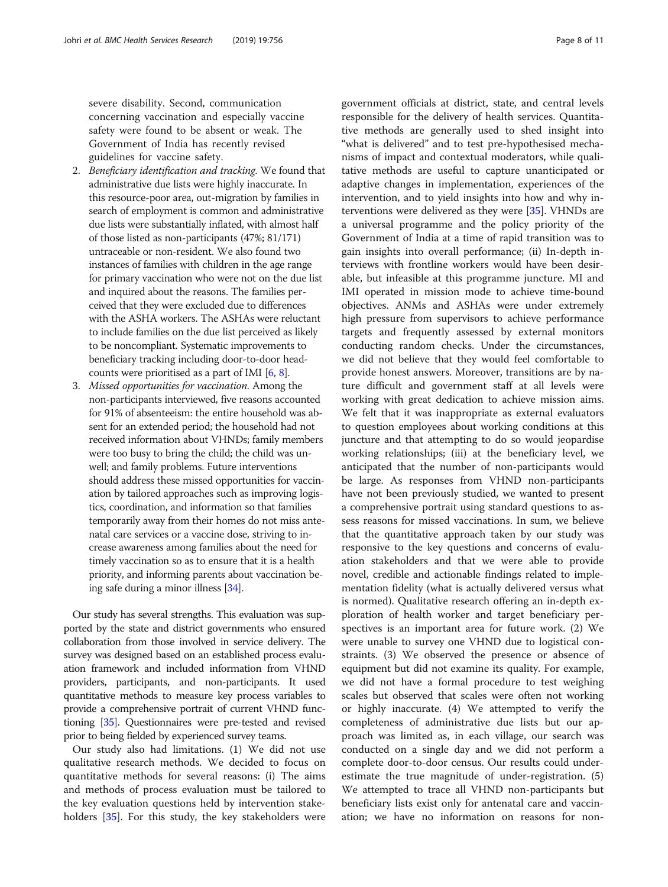severe disability. Second, communication concerning vaccination and especially vaccine safety were found to be absent or weak. The Government of India has recently revised guidelines for vaccine safety.

- 2. Beneficiary identification and tracking. We found that administrative due lists were highly inaccurate. In this resource-poor area, out-migration by families in search of employment is common and administrative due lists were substantially inflated, with almost half of those listed as non-participants (47%; 81/171) untraceable or non-resident. We also found two instances of families with children in the age range for primary vaccination who were not on the due list and inquired about the reasons. The families perceived that they were excluded due to differences with the ASHA workers. The ASHAs were reluctant to include families on the due list perceived as likely to be noncompliant. Systematic improvements to beneficiary tracking including door-to-door headcounts were prioritised as a part of IMI [\[6](#page-9-0), [8](#page-9-0)].
- 3. Missed opportunities for vaccination. Among the non-participants interviewed, five reasons accounted for 91% of absenteeism: the entire household was absent for an extended period; the household had not received information about VHNDs; family members were too busy to bring the child; the child was unwell; and family problems. Future interventions should address these missed opportunities for vaccination by tailored approaches such as improving logistics, coordination, and information so that families temporarily away from their homes do not miss antenatal care services or a vaccine dose, striving to increase awareness among families about the need for timely vaccination so as to ensure that it is a health priority, and informing parents about vaccination being safe during a minor illness [[34](#page-10-0)].

Our study has several strengths. This evaluation was supported by the state and district governments who ensured collaboration from those involved in service delivery. The survey was designed based on an established process evaluation framework and included information from VHND providers, participants, and non-participants. It used quantitative methods to measure key process variables to provide a comprehensive portrait of current VHND functioning [\[35\]](#page-10-0). Questionnaires were pre-tested and revised prior to being fielded by experienced survey teams.

Our study also had limitations. (1) We did not use qualitative research methods. We decided to focus on quantitative methods for several reasons: (i) The aims and methods of process evaluation must be tailored to the key evaluation questions held by intervention stakeholders [\[35](#page-10-0)]. For this study, the key stakeholders were government officials at district, state, and central levels responsible for the delivery of health services. Quantitative methods are generally used to shed insight into "what is delivered" and to test pre-hypothesised mechanisms of impact and contextual moderators, while qualitative methods are useful to capture unanticipated or adaptive changes in implementation, experiences of the intervention, and to yield insights into how and why interventions were delivered as they were [\[35](#page-10-0)]. VHNDs are a universal programme and the policy priority of the Government of India at a time of rapid transition was to gain insights into overall performance; (ii) In-depth interviews with frontline workers would have been desirable, but infeasible at this programme juncture. MI and IMI operated in mission mode to achieve time-bound objectives. ANMs and ASHAs were under extremely high pressure from supervisors to achieve performance targets and frequently assessed by external monitors conducting random checks. Under the circumstances, we did not believe that they would feel comfortable to provide honest answers. Moreover, transitions are by nature difficult and government staff at all levels were working with great dedication to achieve mission aims. We felt that it was inappropriate as external evaluators to question employees about working conditions at this juncture and that attempting to do so would jeopardise working relationships; (iii) at the beneficiary level, we anticipated that the number of non-participants would be large. As responses from VHND non-participants have not been previously studied, we wanted to present a comprehensive portrait using standard questions to assess reasons for missed vaccinations. In sum, we believe that the quantitative approach taken by our study was responsive to the key questions and concerns of evaluation stakeholders and that we were able to provide novel, credible and actionable findings related to implementation fidelity (what is actually delivered versus what is normed). Qualitative research offering an in-depth exploration of health worker and target beneficiary perspectives is an important area for future work. (2) We were unable to survey one VHND due to logistical constraints. (3) We observed the presence or absence of equipment but did not examine its quality. For example, we did not have a formal procedure to test weighing scales but observed that scales were often not working or highly inaccurate. (4) We attempted to verify the completeness of administrative due lists but our approach was limited as, in each village, our search was conducted on a single day and we did not perform a complete door-to-door census. Our results could underestimate the true magnitude of under-registration. (5) We attempted to trace all VHND non-participants but beneficiary lists exist only for antenatal care and vaccination; we have no information on reasons for non-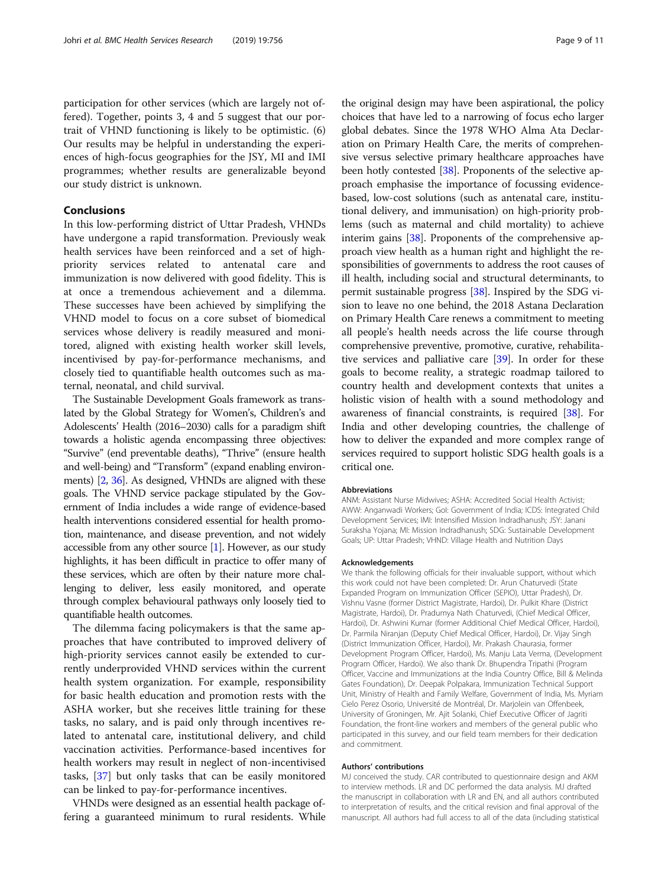participation for other services (which are largely not offered). Together, points 3, 4 and 5 suggest that our portrait of VHND functioning is likely to be optimistic. (6) Our results may be helpful in understanding the experiences of high-focus geographies for the JSY, MI and IMI programmes; whether results are generalizable beyond our study district is unknown.

# Conclusions

In this low-performing district of Uttar Pradesh, VHNDs have undergone a rapid transformation. Previously weak health services have been reinforced and a set of highpriority services related to antenatal care and immunization is now delivered with good fidelity. This is at once a tremendous achievement and a dilemma. These successes have been achieved by simplifying the VHND model to focus on a core subset of biomedical services whose delivery is readily measured and monitored, aligned with existing health worker skill levels, incentivised by pay-for-performance mechanisms, and closely tied to quantifiable health outcomes such as maternal, neonatal, and child survival.

The Sustainable Development Goals framework as translated by the Global Strategy for Women's, Children's and Adolescents' Health (2016–2030) calls for a paradigm shift towards a holistic agenda encompassing three objectives: "Survive" (end preventable deaths), "Thrive" (ensure health and well-being) and "Transform" (expand enabling environments) [[2](#page-9-0), [36\]](#page-10-0). As designed, VHNDs are aligned with these goals. The VHND service package stipulated by the Government of India includes a wide range of evidence-based health interventions considered essential for health promotion, maintenance, and disease prevention, and not widely accessible from any other source [\[1](#page-9-0)]. However, as our study highlights, it has been difficult in practice to offer many of these services, which are often by their nature more challenging to deliver, less easily monitored, and operate through complex behavioural pathways only loosely tied to quantifiable health outcomes.

The dilemma facing policymakers is that the same approaches that have contributed to improved delivery of high-priority services cannot easily be extended to currently underprovided VHND services within the current health system organization. For example, responsibility for basic health education and promotion rests with the ASHA worker, but she receives little training for these tasks, no salary, and is paid only through incentives related to antenatal care, institutional delivery, and child vaccination activities. Performance-based incentives for health workers may result in neglect of non-incentivised tasks, [\[37](#page-10-0)] but only tasks that can be easily monitored can be linked to pay-for-performance incentives.

VHNDs were designed as an essential health package offering a guaranteed minimum to rural residents. While

the original design may have been aspirational, the policy choices that have led to a narrowing of focus echo larger global debates. Since the 1978 WHO Alma Ata Declaration on Primary Health Care, the merits of comprehensive versus selective primary healthcare approaches have been hotly contested [[38\]](#page-10-0). Proponents of the selective approach emphasise the importance of focussing evidencebased, low-cost solutions (such as antenatal care, institutional delivery, and immunisation) on high-priority problems (such as maternal and child mortality) to achieve interim gains [\[38\]](#page-10-0). Proponents of the comprehensive approach view health as a human right and highlight the responsibilities of governments to address the root causes of ill health, including social and structural determinants, to permit sustainable progress [\[38\]](#page-10-0). Inspired by the SDG vision to leave no one behind, the 2018 Astana Declaration on Primary Health Care renews a commitment to meeting all people's health needs across the life course through comprehensive preventive, promotive, curative, rehabilitative services and palliative care [[39\]](#page-10-0). In order for these goals to become reality, a strategic roadmap tailored to country health and development contexts that unites a holistic vision of health with a sound methodology and awareness of financial constraints, is required [\[38\]](#page-10-0). For India and other developing countries, the challenge of how to deliver the expanded and more complex range of services required to support holistic SDG health goals is a critical one.

#### Abbreviations

ANM: Assistant Nurse Midwives; ASHA: Accredited Social Health Activist; AWW: Anganwadi Workers; Gol: Government of India; ICDS: Integrated Child Development Services; IMI: Intensified Mission Indradhanush; JSY: Janani Suraksha Yojana; MI: Mission Indradhanush; SDG: Sustainable Development Goals; UP: Uttar Pradesh; VHND: Village Health and Nutrition Days

#### Acknowledgements

We thank the following officials for their invaluable support, without which this work could not have been completed: Dr. Arun Chaturvedi (State Expanded Program on Immunization Officer (SEPIO), Uttar Pradesh), Dr. Vishnu Vasne (former District Magistrate, Hardoi), Dr. Pulkit Khare (District Magistrate, Hardoi), Dr. Pradumya Nath Chaturvedi, (Chief Medical Officer, Hardoi), Dr. Ashwini Kumar (former Additional Chief Medical Officer, Hardoi), Dr. Parmila Niranjan (Deputy Chief Medical Officer, Hardoi), Dr. Vijay Singh (District Immunization Officer, Hardoi), Mr. Prakash Chaurasia, former Development Program Officer, Hardoi), Ms. Manju Lata Verma, (Development Program Officer, Hardoi). We also thank Dr. Bhupendra Tripathi (Program Officer, Vaccine and Immunizations at the India Country Office, Bill & Melinda Gates Foundation), Dr. Deepak Polpakara, Immunization Technical Support Unit, Ministry of Health and Family Welfare, Government of India, Ms. Myriam Cielo Perez Osorio, Université de Montréal, Dr. Marjolein van Offenbeek, University of Groningen, Mr. Ajit Solanki, Chief Executive Officer of Jagriti Foundation, the front-line workers and members of the general public who participated in this survey, and our field team members for their dedication and commitment.

#### Authors' contributions

MJ conceived the study. CAR contributed to questionnaire design and AKM to interview methods. LR and DC performed the data analysis. MJ drafted the manuscript in collaboration with LR and EN, and all authors contributed to interpretation of results, and the critical revision and final approval of the manuscript. All authors had full access to all of the data (including statistical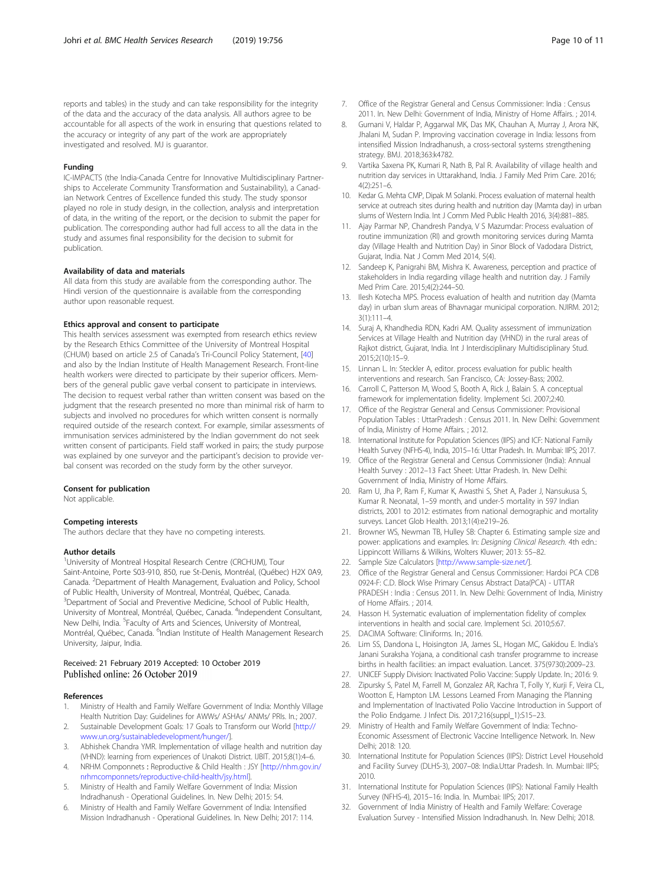#### <span id="page-9-0"></span>Funding

IC-IMPACTS (the India-Canada Centre for Innovative Multidisciplinary Partnerships to Accelerate Community Transformation and Sustainability), a Canadian Network Centres of Excellence funded this study. The study sponsor played no role in study design, in the collection, analysis and interpretation of data, in the writing of the report, or the decision to submit the paper for publication. The corresponding author had full access to all the data in the study and assumes final responsibility for the decision to submit for publication.

#### Availability of data and materials

All data from this study are available from the corresponding author. The Hindi version of the questionnaire is available from the corresponding author upon reasonable request.

#### Ethics approval and consent to participate

This health services assessment was exempted from research ethics review by the Research Ethics Committee of the University of Montreal Hospital (CHUM) based on article 2.5 of Canada's Tri-Council Policy Statement, [\[40\]](#page-10-0) and also by the Indian Institute of Health Management Research. Front-line health workers were directed to participate by their superior officers. Members of the general public gave verbal consent to participate in interviews. The decision to request verbal rather than written consent was based on the judgment that the research presented no more than minimal risk of harm to subjects and involved no procedures for which written consent is normally required outside of the research context. For example, similar assessments of immunisation services administered by the Indian government do not seek written consent of participants. Field staff worked in pairs; the study purpose was explained by one surveyor and the participant's decision to provide verbal consent was recorded on the study form by the other surveyor.

#### Consent for publication

Not applicable.

#### Competing interests

The authors declare that they have no competing interests.

#### Author details

<sup>1</sup>University of Montreal Hospital Research Centre (CRCHUM), Tour Saint-Antoine, Porte S03-910, 850, rue St-Denis, Montréal, (Québec) H2X 0A9, Canada. <sup>2</sup>Department of Health Management, Evaluation and Policy, School of Public Health, University of Montreal, Montréal, Québec, Canada. <sup>3</sup>Department of Social and Preventive Medicine, School of Public Health, University of Montreal, Montréal, Québec, Canada. <sup>4</sup>Independent Consultant, New Delhi, India. <sup>5</sup>Faculty of Arts and Sciences, University of Montreal, Montréal, Québec, Canada. <sup>6</sup>Indian Institute of Health Management Research University, Jaipur, India.

## Received: 21 February 2019 Accepted: 10 October 2019 Published online: 26 October 2019

#### References

- 1. Ministry of Health and Family Welfare Government of India: Monthly Village Health Nutrition Day: Guidelines for AWWs/ ASHAs/ ANMs/ PRIs. In.; 2007.
- 2. Sustainable Development Goals: 17 Goals to Transform our World [[http://](http://www.un.org/sustainabledevelopment/hunger/) [www.un.org/sustainabledevelopment/hunger/](http://www.un.org/sustainabledevelopment/hunger/)].
- 3. Abhishek Chandra YMR. Implementation of village health and nutrition day (VHND): learning from experiences of Unakoti District. IJBIT. 2015;8(1):4–6.
- 4. NRHM Componnets : Reproductive & Child Health : JSY [\[http://nhm.gov.in/](http://nhm.gov.in/nrhmcomponnets/reproductive-child-health/jsy.html) [nrhmcomponnets/reproductive-child-health/jsy.html](http://nhm.gov.in/nrhmcomponnets/reproductive-child-health/jsy.html)].
- 5. Ministry of Health and Family Welfare Government of India: Mission Indradhanush - Operational Guidelines. In. New Delhi; 2015: 54.
- 6. Ministry of Health and Family Welfare Government of India: Intensified Mission Indradhanush - Operational Guidelines. In. New Delhi; 2017: 114.
- 7. Office of the Registrar General and Census Commissioner: India : Census 2011. In. New Delhi: Government of India, Ministry of Home Affairs. ; 2014.
- 8. Gurnani V, Haldar P, Aggarwal MK, Das MK, Chauhan A, Murray J, Arora NK, Jhalani M, Sudan P. Improving vaccination coverage in India: lessons from intensified Mission Indradhanush, a cross-sectoral systems strengthening strategy. BMJ. 2018;363:k4782.
- 9. Vartika Saxena PK, Kumari R, Nath B, Pal R. Availability of village health and nutrition day services in Uttarakhand, India. J Family Med Prim Care. 2016; 4(2):251–6.
- 10. Kedar G. Mehta CMP, Dipak M Solanki. Process evaluation of maternal health service at outreach sites during health and nutrition day (Mamta day) in urban slums of Western India. Int J Comm Med Public Health 2016, 3(4):881–885.
- 11. Ajay Parmar NP, Chandresh Pandya, V S Mazumdar: Process evaluation of routine immunization (RI) and growth monitoring services during Mamta day (Village Health and Nutrition Day) in Sinor Block of Vadodara District, Gujarat, India. Nat J Comm Med 2014, 5(4).
- 12. Sandeep K, Panigrahi BM, Mishra K. Awareness, perception and practice of stakeholders in India regarding village health and nutrition day. J Family Med Prim Care. 2015;4(2):244–50.
- 13. Ilesh Kotecha MPS. Process evaluation of health and nutrition day (Mamta day) in urban slum areas of Bhavnagar municipal corporation. NJIRM. 2012;  $3(1):111-4$
- 14. Suraj A, Khandhedia RDN, Kadri AM. Quality assessment of immunization Services at Village Health and Nutrition day (VHND) in the rural areas of Rajkot district, Gujarat, India. Int J Interdisciplinary Multidisciplinary Stud. 2015;2(10):15–9.
- 15. Linnan L. In: Steckler A, editor. process evaluation for public health interventions and research. San Francisco, CA: Jossey-Bass; 2002.
- 16. Carroll C, Patterson M, Wood S, Booth A, Rick J, Balain S. A conceptual framework for implementation fidelity. Implement Sci. 2007;2:40.
- 17. Office of the Registrar General and Census Commissioner: Provisional Population Tables : UttarPradesh : Census 2011. In. New Delhi: Government of India, Ministry of Home Affairs. ; 2012.
- 18. International Institute for Population Sciences (IIPS) and ICF: National Family Health Survey (NFHS-4), India, 2015–16: Uttar Pradesh. In. Mumbai: IIPS; 2017.
- 19. Office of the Registrar General and Census Commissioner (India): Annual Health Survey : 2012–13 Fact Sheet: Uttar Pradesh. In. New Delhi: Government of India, Ministry of Home Affairs.
- 20. Ram U, Jha P, Ram F, Kumar K, Awasthi S, Shet A, Pader J, Nansukusa S, Kumar R. Neonatal, 1–59 month, and under-5 mortality in 597 Indian districts, 2001 to 2012: estimates from national demographic and mortality surveys. Lancet Glob Health. 2013;1(4):e219–26.
- 21. Browner WS, Newman TB, Hulley SB: Chapter 6. Estimating sample size and power: applications and examples. In: Designing Clinical Research. 4th edn.: Lippincott Williams & Wilkins, Wolters Kluwer; 2013: 55–82.
- 22. Sample Size Calculators [<http://www.sample-size.net/>].
- 23. Office of the Registrar General and Census Commissioner: Hardoi PCA CDB 0924-F: C.D. Block Wise Primary Census Abstract Data(PCA) - UTTAR PRADESH : India : Census 2011. In. New Delhi: Government of India, Ministry of Home Affairs. ; 2014.
- 24. Hasson H. Systematic evaluation of implementation fidelity of complex interventions in health and social care. Implement Sci. 2010;5:67.
- 25. DACIMA Software: Cliniforms. In.; 2016.
- 26. Lim SS, Dandona L, Hoisington JA, James SL, Hogan MC, Gakidou E. India's Janani Suraksha Yojana, a conditional cash transfer programme to increase births in health facilities: an impact evaluation. Lancet. 375(9730):2009–23.
- 27. UNICEF Supply Division: Inactivated Polio Vaccine: Supply Update. In.; 2016: 9.
- 28. Zipursky S, Patel M, Farrell M, Gonzalez AR, Kachra T, Folly Y, Kurji F, Veira CL, Wootton E, Hampton LM. Lessons Learned From Managing the Planning and Implementation of Inactivated Polio Vaccine Introduction in Support of the Polio Endgame. J Infect Dis. 2017;216(suppl\_1):S15–23.
- 29. Ministry of Health and Family Welfare Government of India: Techno-Economic Assessment of Electronic Vaccine Intelligence Network. In. New Delhi; 2018: 120.
- 30. International Institute for Population Sciences (IIPS): District Level Household and Facility Survey (DLHS-3), 2007–08: India.Uttar Pradesh. In. Mumbai: IIPS; 2010.
- 31. International Institute for Population Sciences (IIPS): National Family Health Survey (NFHS-4), 2015–16: India. In. Mumbai: IIPS; 2017.
- 32. Government of India Ministry of Health and Family Welfare: Coverage Evaluation Survey - Intensified Mission Indradhanush. In. New Delhi; 2018.